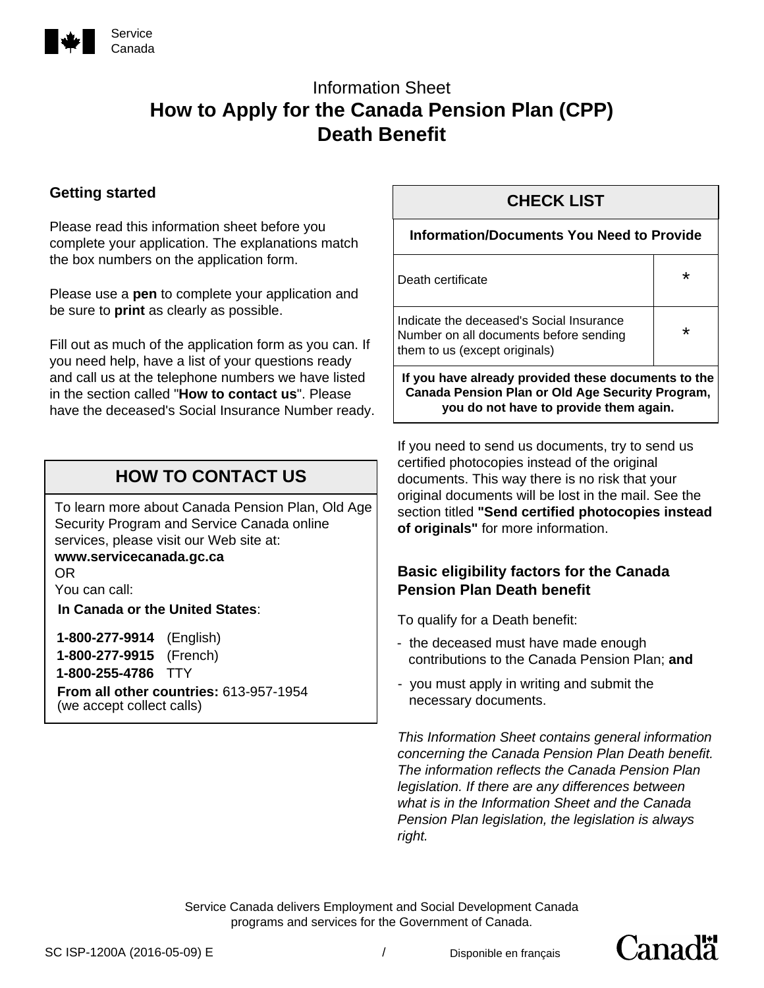

# Information Sheet **How to Apply for the Canada Pension Plan (CPP) Death Benefit**

### **Getting started**

Please read this information sheet before you complete your application. The explanations match the box numbers on the application form.

Please use a **pen** to complete your application and be sure to **print** as clearly as possible.

Fill out as much of the application form as you can. If you need help, have a list of your questions ready and call us at the telephone numbers we have listed in the section called "**How to contact us**". Please have the deceased's Social Insurance Number ready.

# **HOW TO CONTACT US**

To learn more about Canada Pension Plan, Old Age Security Program and Service Canada online services, please visit our Web site at:

#### **www.servicecanada.gc.ca**  OR

You can call:

**In Canada or the United States**:

**1-800-277-9914** (English) **1-800-277-9915** (French) **1-800-255-4786** TTY **From all other countries:** 613-957-1954 (we accept collect calls)

# **CHECK LIST**

#### **Information/Documents You Need to Provide**

| Death certificate                               |  |
|-------------------------------------------------|--|
| ومعجوبينهما امتممت والموموموم مامعناه والمحارما |  |

Indicate the deceased's Social Insurance Number on all documents before sending them to us (except originals)

**If you have already provided these documents to the Canada Pension Plan or Old Age Security Program, you do not have to provide them again.**

\*

If you need to send us documents, try to send us certified photocopies instead of the original documents. This way there is no risk that your original documents will be lost in the mail. See the section titled **"Send certified photocopies instead of originals"** for more information.

#### **Basic eligibility factors for the Canada Pension Plan Death benefit**

To qualify for a Death benefit:

- the deceased must have made enough contributions to the Canada Pension Plan; **and**
- you must apply in writing and submit the necessary documents.

*This Information Sheet contains general information concerning the Canada Pension Plan Death benefit. The information reflects the Canada Pension Plan legislation. If there are any differences between what is in the Information Sheet and the Canada Pension Plan legislation, the legislation is always right.*

Canadä<sup>r</sup>

Service Canada delivers Employment and Social Development Canada programs and services for the Government of Canada.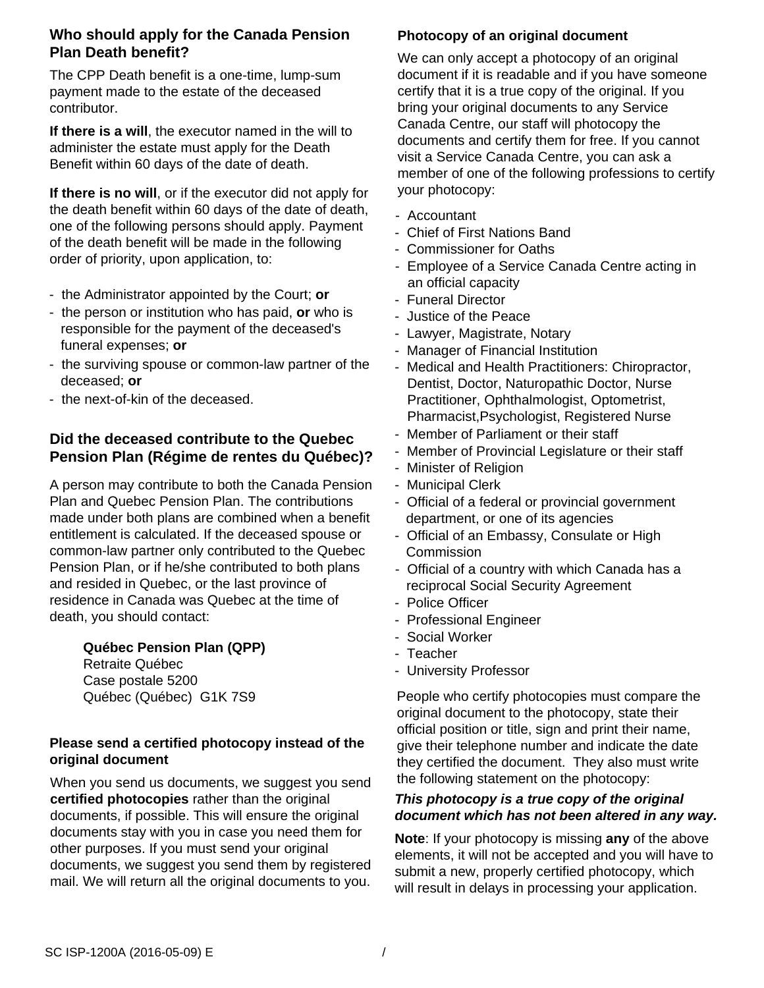### **Who should apply for the Canada Pension Plan Death benefit?**

The CPP Death benefit is a one-time, lump-sum payment made to the estate of the deceased contributor.

**If there is a will**, the executor named in the will to administer the estate must apply for the Death Benefit within 60 days of the date of death.

**If there is no will**, or if the executor did not apply for the death benefit within 60 days of the date of death, one of the following persons should apply. Payment of the death benefit will be made in the following order of priority, upon application, to:

- the Administrator appointed by the Court; **or**
- the person or institution who has paid, **or** who is responsible for the payment of the deceased's funeral expenses; **or**
- the surviving spouse or common-law partner of the deceased; **or**
- the next-of-kin of the deceased.

#### **Did the deceased contribute to the Quebec Pension Plan (Régime de rentes du Québec)?**

A person may contribute to both the Canada Pension Plan and Quebec Pension Plan. The contributions made under both plans are combined when a benefit entitlement is calculated. If the deceased spouse or common-law partner only contributed to the Quebec Pension Plan, or if he/she contributed to both plans and resided in Quebec, or the last province of residence in Canada was Quebec at the time of death, you should contact:

> **Québec Pension Plan (QPP)**  Retraite Québec Case postale 5200 Québec (Québec) G1K 7S9

#### **Please send a certified photocopy instead of the original document**

When you send us documents, we suggest you send **certified photocopies** rather than the original documents, if possible. This will ensure the original documents stay with you in case you need them for other purposes. If you must send your original documents, we suggest you send them by registered mail. We will return all the original documents to you.

#### **Photocopy of an original document**

We can only accept a photocopy of an original document if it is readable and if you have someone certify that it is a true copy of the original. If you bring your original documents to any Service Canada Centre, our staff will photocopy the documents and certify them for free. If you cannot visit a Service Canada Centre, you can ask a member of one of the following professions to certify your photocopy:

- Accountant
- Chief of First Nations Band
- Commissioner for Oaths
- Employee of a Service Canada Centre acting in an official capacity
- Funeral Director
- Justice of the Peace
- Lawyer, Magistrate, Notary
- Manager of Financial Institution
- Medical and Health Practitioners: Chiropractor, Dentist, Doctor, Naturopathic Doctor, Nurse Practitioner, Ophthalmologist, Optometrist, Pharmacist,Psychologist, Registered Nurse
- Member of Parliament or their staff
- Member of Provincial Legislature or their staff
- Minister of Religion
- Municipal Clerk
- Official of a federal or provincial government department, or one of its agencies
- Official of an Embassy, Consulate or High **Commission**
- Official of a country with which Canada has a reciprocal Social Security Agreement
- Police Officer
- Professional Engineer
- Social Worker
- Teacher
- University Professor

People who certify photocopies must compare the original document to the photocopy, state their official position or title, sign and print their name, give their telephone number and indicate the date they certified the document. They also must write the following statement on the photocopy:

#### *This photocopy is a true copy of the original document which has not been altered in any way.*

**Note**: If your photocopy is missing **any** of the above elements, it will not be accepted and you will have to submit a new, properly certified photocopy, which will result in delays in processing your application.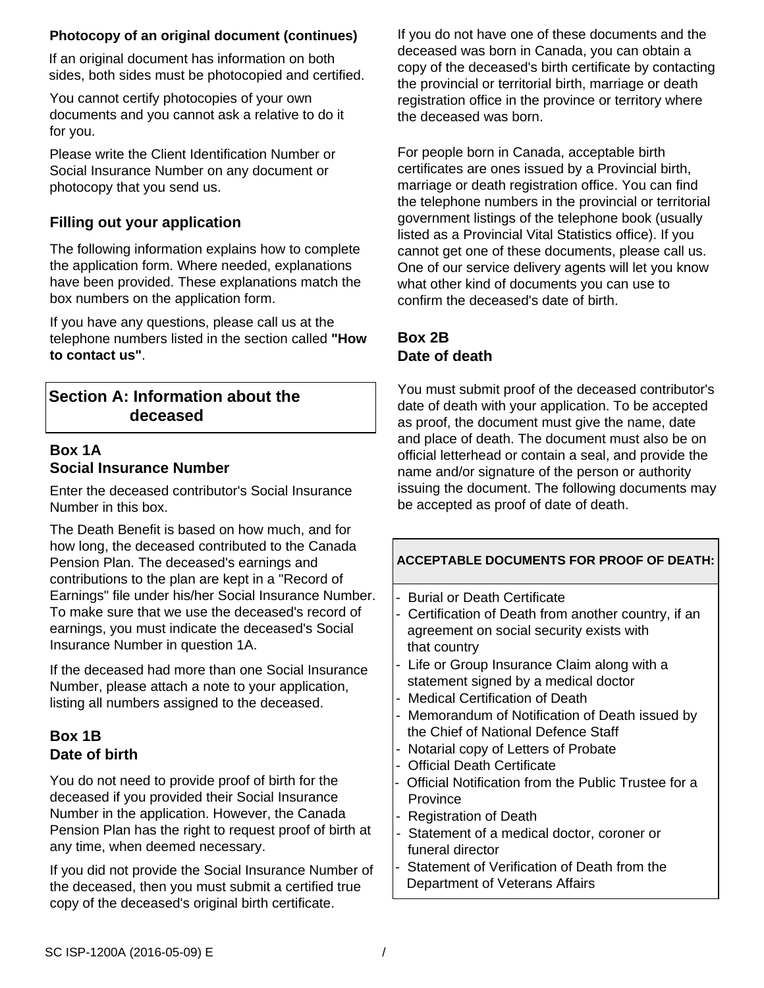#### **Photocopy of an original document (continues)**

If an original document has information on both sides, both sides must be photocopied and certified.

You cannot certify photocopies of your own documents and you cannot ask a relative to do it for you.

Please write the Client Identification Number or Social Insurance Number on any document or photocopy that you send us.

# **Filling out your application**

The following information explains how to complete the application form. Where needed, explanations have been provided. These explanations match the box numbers on the application form.

If you have any questions, please call us at the telephone numbers listed in the section called **"How to contact us"**.

# **Section A: Information about the deceased**

### **Box 1A Social Insurance Number**

Enter the deceased contributor's Social Insurance Number in this box.

The Death Benefit is based on how much, and for how long, the deceased contributed to the Canada Pension Plan. The deceased's earnings and contributions to the plan are kept in a "Record of Earnings" file under his/her Social Insurance Number. To make sure that we use the deceased's record of earnings, you must indicate the deceased's Social Insurance Number in question 1A.

If the deceased had more than one Social Insurance Number, please attach a note to your application, listing all numbers assigned to the deceased.

# **Box 1B Date of birth**

You do not need to provide proof of birth for the deceased if you provided their Social Insurance Number in the application. However, the Canada Pension Plan has the right to request proof of birth at any time, when deemed necessary.

If you did not provide the Social Insurance Number of the deceased, then you must submit a certified true copy of the deceased's original birth certificate.

If you do not have one of these documents and the deceased was born in Canada, you can obtain a copy of the deceased's birth certificate by contacting the provincial or territorial birth, marriage or death registration office in the province or territory where the deceased was born.

For people born in Canada, acceptable birth certificates are ones issued by a Provincial birth, marriage or death registration office. You can find the telephone numbers in the provincial or territorial government listings of the telephone book (usually listed as a Provincial Vital Statistics office). If you cannot get one of these documents, please call us. One of our service delivery agents will let you know what other kind of documents you can use to confirm the deceased's date of birth.

# **Box 2B Date of death**

You must submit proof of the deceased contributor's date of death with your application. To be accepted as proof, the document must give the name, date and place of death. The document must also be on official letterhead or contain a seal, and provide the name and/or signature of the person or authority issuing the document. The following documents may be accepted as proof of date of death.

- Burial or Death Certificate
- Certification of Death from another country, if an agreement on social security exists with that country
- Life or Group Insurance Claim along with a statement signed by a medical doctor
- Medical Certification of Death
- Memorandum of Notification of Death issued by the Chief of National Defence Staff
- Notarial copy of Letters of Probate
- Official Death Certificate
- Official Notification from the Public Trustee for a **Province**
- Registration of Death
- Statement of a medical doctor, coroner or funeral director
- Statement of Verification of Death from the Department of Veterans Affairs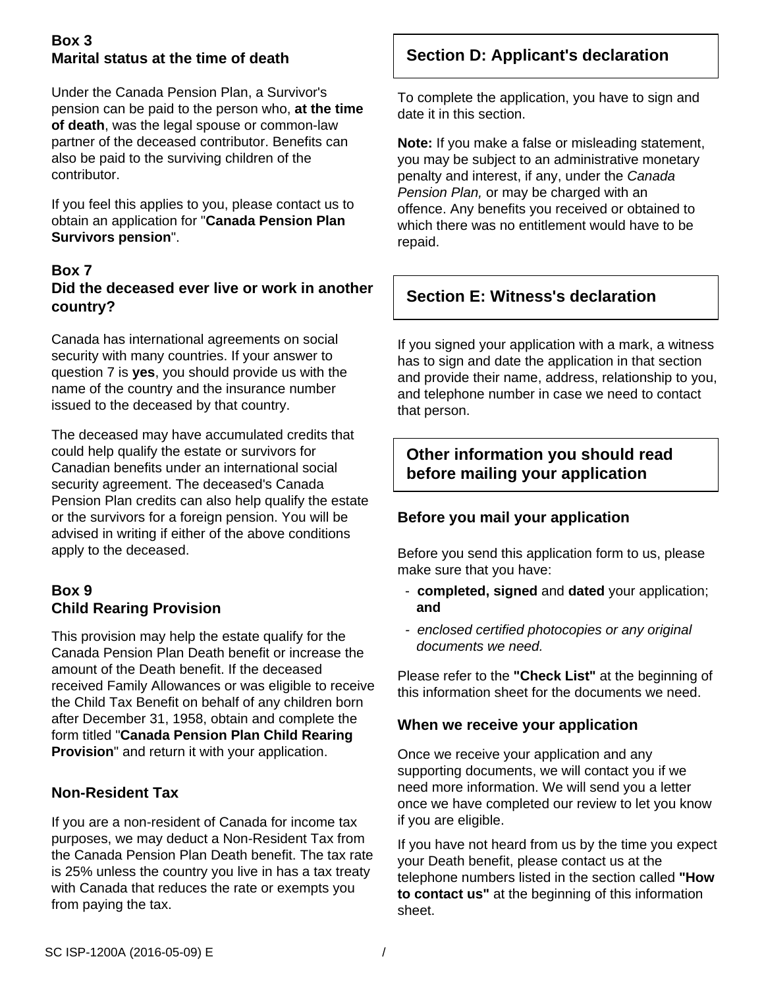# **Box 3 Marital status at the time of death**

Under the Canada Pension Plan, a Survivor's pension can be paid to the person who, **at the time of death**, was the legal spouse or common-law partner of the deceased contributor. Benefits can also be paid to the surviving children of the contributor.

If you feel this applies to you, please contact us to obtain an application for "**Canada Pension Plan Survivors pension**".

#### **Box 7 Did the deceased ever live or work in another country?**

Canada has international agreements on social security with many countries. If your answer to question 7 is **yes**, you should provide us with the name of the country and the insurance number issued to the deceased by that country.

The deceased may have accumulated credits that could help qualify the estate or survivors for Canadian benefits under an international social security agreement. The deceased's Canada Pension Plan credits can also help qualify the estate or the survivors for a foreign pension. You will be advised in writing if either of the above conditions apply to the deceased.

# **Box 9 Child Rearing Provision**

This provision may help the estate qualify for the Canada Pension Plan Death benefit or increase the amount of the Death benefit. If the deceased received Family Allowances or was eligible to receive the Child Tax Benefit on behalf of any children born after December 31, 1958, obtain and complete the form titled "**Canada Pension Plan Child Rearing Provision**" and return it with your application.

# **Non-Resident Tax**

If you are a non-resident of Canada for income tax purposes, we may deduct a Non-Resident Tax from the Canada Pension Plan Death benefit. The tax rate is 25% unless the country you live in has a tax treaty with Canada that reduces the rate or exempts you from paying the tax.

# **Section D: Applicant's declaration**

To complete the application, you have to sign and date it in this section.

**Note:** If you make a false or misleading statement, you may be subject to an administrative monetary penalty and interest, if any, under the *Canada Pension Plan,* or may be charged with an offence. Any benefits you received or obtained to which there was no entitlement would have to be repaid.

# **Section E: Witness's declaration**

If you signed your application with a mark, a witness has to sign and date the application in that section and provide their name, address, relationship to you, and telephone number in case we need to contact that person.

# **Other information you should read before mailing your application**

# **Before you mail your application**

Before you send this application form to us, please make sure that you have:

- **completed, signed** and **dated** your application; **and**
- *enclosed certified photocopies or any original documents we need.*

Please refer to the **"Check List"** at the beginning of this information sheet for the documents we need.

#### **When we receive your application**

Once we receive your application and any supporting documents, we will contact you if we need more information. We will send you a letter once we have completed our review to let you know if you are eligible.

If you have not heard from us by the time you expect your Death benefit, please contact us at the telephone numbers listed in the section called **"How to contact us"** at the beginning of this information sheet.